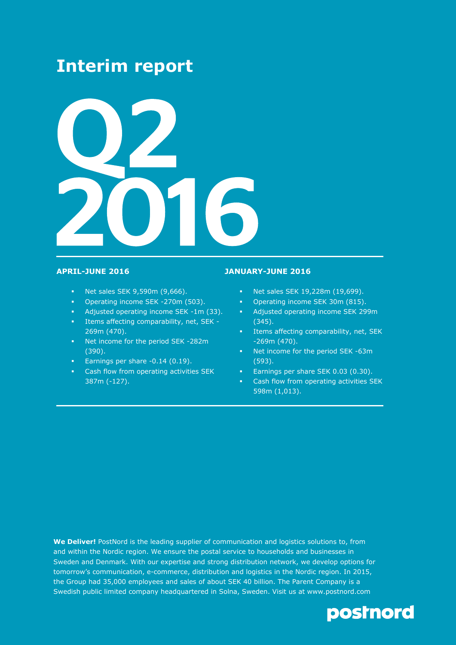# **Interim report**



- **Net sales SEK 9,590m (9,666).**
- **•** Operating income SEK -270m (503).
- Adjusted operating income SEK -1m (33).
- Items affecting comparability, net, SEK 269m (470).
- Net income for the period SEK -282m (390).
- Earnings per share -0.14 (0.19).
- **EXEC** Cash flow from operating activities SEK 387m (-127).

### **APRIL-JUNE 2016 JANUARY-JUNE 2016**

- Net sales SEK 19,228m (19,699).
- **•** Operating income SEK 30m (815).
- Adjusted operating income SEK 299m (345).
- Items affecting comparability, net, SEK -269m (470).
- Net income for the period SEK -63m (593).
- Earnings per share SEK 0.03 (0.30).
- Cash flow from operating activities SEK 598m (1,013).

**We Deliver!** PostNord is the leading supplier of communication and logistics solutions to, from and within the Nordic region. We ensure the postal service to households and businesses in Sweden and Denmark. With our expertise and strong distribution network, we develop options for tomorrow's communication, e-commerce, distribution and logistics in the Nordic region. In 2015, the Group had 35,000 employees and sales of about SEK 40 billion. The Parent Company is a Swedish public limited company headquartered in Solna, Sweden. Visit us at www.postnord.com

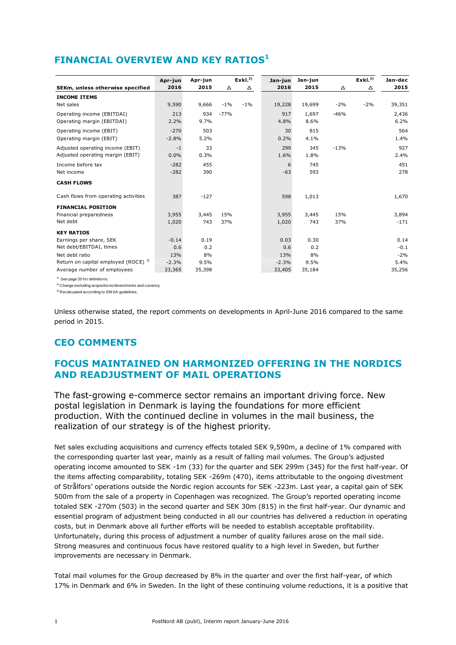## **FINANCIAL OVERVIEW AND KEY RATIOS<sup>1</sup>**

|                                      | Apr-jun | Apr-jun |        | Exkl. <sup>2</sup> | Jan-jun | Jan-jun |        | Exkl. <sup>2</sup> | Jan-dec |
|--------------------------------------|---------|---------|--------|--------------------|---------|---------|--------|--------------------|---------|
| SEKm, unless otherwise specified     | 2016    | 2015    | Δ      | △                  | 2016    | 2015    | Δ      | Δ                  | 2015    |
| <b>INCOME ITEMS</b>                  |         |         |        |                    |         |         |        |                    |         |
| Net sales                            | 9,590   | 9,666   | $-1%$  | $-1\%$             | 19,228  | 19,699  | $-2%$  | $-2%$              | 39,351  |
| Operating income (EBITDAI)           | 213     | 934     | $-77%$ |                    | 917     | 1,697   | $-46%$ |                    | 2,436   |
| Operating margin (EBITDAI)           | 2.2%    | 9.7%    |        |                    | 4.8%    | 8.6%    |        |                    | 6.2%    |
| Operating income (EBIT)              | $-270$  | 503     |        |                    | 30      | 815     |        |                    | 564     |
| Operating margin (EBIT)              | $-2.8%$ | 5.2%    |        |                    | 0.2%    | 4.1%    |        |                    | 1.4%    |
| Adjusted operating income (EBIT)     | $-1$    | 33      |        |                    | 299     | 345     | $-13%$ |                    | 927     |
| Adjusted operating margin (EBIT)     | 0.0%    | 0.3%    |        |                    | 1.6%    | 1.8%    |        |                    | 2.4%    |
| Income before tax                    | $-282$  | 455     |        |                    | 6       | 745     |        |                    | 451     |
| Net income                           | $-282$  | 390     |        |                    | $-63$   | 593     |        |                    | 278     |
| <b>CASH FLOWS</b>                    |         |         |        |                    |         |         |        |                    |         |
| Cash flows from operating activities | 387     | $-127$  |        |                    | 598     | 1,013   |        |                    | 1,670   |
| <b>FINANCIAL POSITION</b>            |         |         |        |                    |         |         |        |                    |         |
| Financial preparedness               | 3,955   | 3,445   | 15%    |                    | 3,955   | 3,445   | 15%    |                    | 3,894   |
| Net debt                             | 1,020   | 743     | 37%    |                    | 1,020   | 743     | 37%    |                    | $-171$  |
| <b>KEY RATIOS</b>                    |         |         |        |                    |         |         |        |                    |         |
| Earnings per share, SEK              | $-0.14$ | 0.19    |        |                    | 0.03    | 0.30    |        |                    | 0.14    |
| Net debt/EBITDAI, times              | 0.6     | 0.2     |        |                    | 0.6     | 0.2     |        |                    | $-0.1$  |
| Net debt ratio                       | 13%     | 8%      |        |                    | 13%     | 8%      |        |                    | $-2%$   |
| Return on capital employed (ROCE) 3) | $-2.3%$ | 9.5%    |        |                    | $-2.3%$ | 9.5%    |        |                    | 5.4%    |
| Average number of employees          | 33,365  | 35,398  |        |                    | 33,405  | 35,184  |        |                    | 35,256  |

<sup>1)</sup> See page 20 for definitions

<sup>2)</sup> Change excluding acquisitions/divestments and currency

3) Recalcuated according to EM SA guidelines.

Unless otherwise stated, the report comments on developments in April-June 2016 compared to the same period in 2015.

### **CEO COMMENTS**

### **FOCUS MAINTAINED ON HARMONIZED OFFERING IN THE NORDICS AND READJUSTMENT OF MAIL OPERATIONS**

The fast-growing e-commerce sector remains an important driving force. New postal legislation in Denmark is laying the foundations for more efficient production. With the continued decline in volumes in the mail business, the realization of our strategy is of the highest priority.

Net sales excluding acquisitions and currency effects totaled SEK 9,590m, a decline of 1% compared with the corresponding quarter last year, mainly as a result of falling mail volumes. The Group's adjusted operating income amounted to SEK -1m (33) for the quarter and SEK 299m (345) for the first half-year. Of the items affecting comparability, totaling SEK -269m (470), items attributable to the ongoing divestment of Strålfors' operations outside the Nordic region accounts for SEK -223m. Last year, a capital gain of SEK 500m from the sale of a property in Copenhagen was recognized. The Group's reported operating income totaled SEK -270m (503) in the second quarter and SEK 30m (815) in the first half-year. Our dynamic and essential program of adjustment being conducted in all our countries has delivered a reduction in operating costs, but in Denmark above all further efforts will be needed to establish acceptable profitability. Unfortunately, during this process of adjustment a number of quality failures arose on the mail side. Strong measures and continuous focus have restored quality to a high level in Sweden, but further improvements are necessary in Denmark.

Total mail volumes for the Group decreased by 8% in the quarter and over the first half-year, of which 17% in Denmark and 6% in Sweden. In the light of these continuing volume reductions, it is a positive that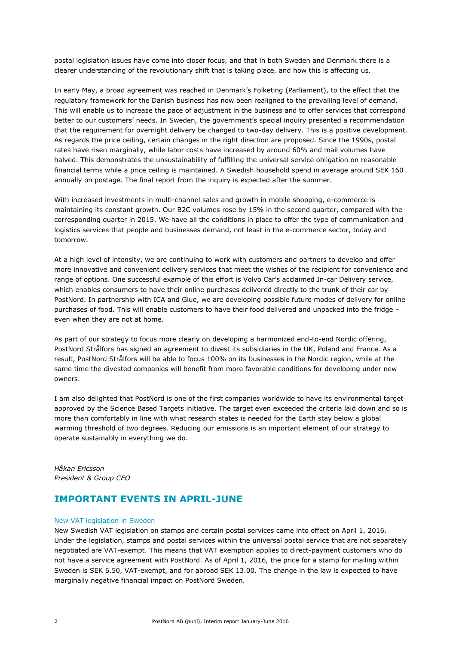postal legislation issues have come into closer focus, and that in both Sweden and Denmark there is a clearer understanding of the revolutionary shift that is taking place, and how this is affecting us.

In early May, a broad agreement was reached in Denmark's Folketing (Parliament), to the effect that the regulatory framework for the Danish business has now been realigned to the prevailing level of demand. This will enable us to increase the pace of adjustment in the business and to offer services that correspond better to our customers' needs. In Sweden, the government's special inquiry presented a recommendation that the requirement for overnight delivery be changed to two-day delivery. This is a positive development. As regards the price ceiling, certain changes in the right direction are proposed. Since the 1990s, postal rates have risen marginally, while labor costs have increased by around 60% and mail volumes have halved. This demonstrates the unsustainability of fulfilling the universal service obligation on reasonable financial terms while a price ceiling is maintained. A Swedish household spend in average around SEK 160 annually on postage. The final report from the inquiry is expected after the summer.

With increased investments in multi-channel sales and growth in mobile shopping, e-commerce is maintaining its constant growth. Our B2C volumes rose by 15% in the second quarter, compared with the corresponding quarter in 2015. We have all the conditions in place to offer the type of communication and logistics services that people and businesses demand, not least in the e-commerce sector, today and tomorrow.

At a high level of intensity, we are continuing to work with customers and partners to develop and offer more innovative and convenient delivery services that meet the wishes of the recipient for convenience and range of options. One successful example of this effort is Volvo Car's acclaimed In-car Delivery service, which enables consumers to have their online purchases delivered directly to the trunk of their car by PostNord. In partnership with ICA and Glue, we are developing possible future modes of delivery for online purchases of food. This will enable customers to have their food delivered and unpacked into the fridge – even when they are not at home.

As part of our strategy to focus more clearly on developing a harmonized end-to-end Nordic offering, PostNord Strålfors has signed an agreement to divest its subsidiaries in the UK, Poland and France. As a result, PostNord Strålfors will be able to focus 100% on its businesses in the Nordic region, while at the same time the divested companies will benefit from more favorable conditions for developing under new owners.

I am also delighted that PostNord is one of the first companies worldwide to have its environmental target approved by the Science Based Targets initiative. The target even exceeded the criteria laid down and so is more than comfortably in line with what research states is needed for the Earth stay below a global warming threshold of two degrees. Reducing our emissions is an important element of our strategy to operate sustainably in everything we do.

*Håkan Ericsson President & Group CEO*

### **IMPORTANT EVENTS IN APRIL-JUNE**

### New VAT legislation in Sweden

New Swedish VAT legislation on stamps and certain postal services came into effect on April 1, 2016. Under the legislation, stamps and postal services within the universal postal service that are not separately negotiated are VAT-exempt. This means that VAT exemption applies to direct-payment customers who do not have a service agreement with PostNord. As of April 1, 2016, the price for a stamp for mailing within Sweden is SEK 6.50, VAT-exempt, and for abroad SEK 13.00. The change in the law is expected to have marginally negative financial impact on PostNord Sweden.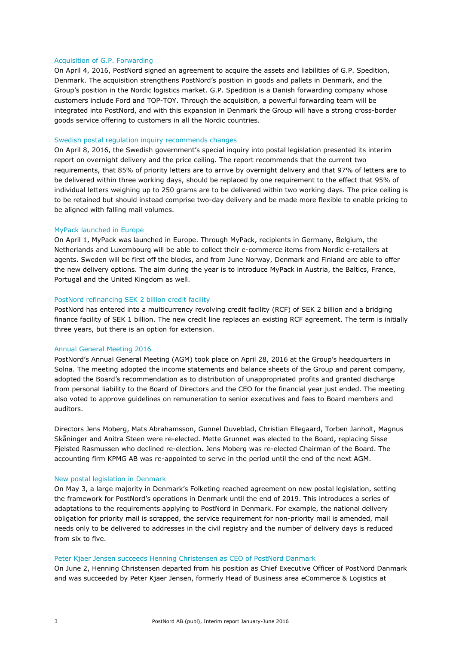#### Acquisition of G.P. Forwarding

On April 4, 2016, PostNord signed an agreement to acquire the assets and liabilities of G.P. Spedition, Denmark. The acquisition strengthens PostNord's position in goods and pallets in Denmark, and the Group's position in the Nordic logistics market. G.P. Spedition is a Danish forwarding company whose customers include Ford and TOP-TOY. Through the acquisition, a powerful forwarding team will be integrated into PostNord, and with this expansion in Denmark the Group will have a strong cross-border goods service offering to customers in all the Nordic countries.

#### Swedish postal regulation inquiry recommends changes

On April 8, 2016, the Swedish government's special inquiry into postal legislation presented its interim report on overnight delivery and the price ceiling. The report recommends that the current two requirements, that 85% of priority letters are to arrive by overnight delivery and that 97% of letters are to be delivered within three working days, should be replaced by one requirement to the effect that 95% of individual letters weighing up to 250 grams are to be delivered within two working days. The price ceiling is to be retained but should instead comprise two-day delivery and be made more flexible to enable pricing to be aligned with falling mail volumes.

#### MyPack launched in Europe

On April 1, MyPack was launched in Europe. Through MyPack, recipients in Germany, Belgium, the Netherlands and Luxembourg will be able to collect their e-commerce items from Nordic e-retailers at agents. Sweden will be first off the blocks, and from June Norway, Denmark and Finland are able to offer the new delivery options. The aim during the year is to introduce MyPack in Austria, the Baltics, France, Portugal and the United Kingdom as well.

#### PostNord refinancing SEK 2 billion credit facility

PostNord has entered into a multicurrency revolving credit facility (RCF) of SEK 2 billion and a bridging finance facility of SEK 1 billion. The new credit line replaces an existing RCF agreement. The term is initially three years, but there is an option for extension.

#### Annual General Meeting 2016

PostNord's Annual General Meeting (AGM) took place on April 28, 2016 at the Group's headquarters in Solna. The meeting adopted the income statements and balance sheets of the Group and parent company, adopted the Board's recommendation as to distribution of unappropriated profits and granted discharge from personal liability to the Board of Directors and the CEO for the financial year just ended. The meeting also voted to approve guidelines on remuneration to senior executives and fees to Board members and auditors.

Directors Jens Moberg, Mats Abrahamsson, Gunnel Duveblad, Christian Ellegaard, Torben Janholt, Magnus Skåninger and Anitra Steen were re-elected. Mette Grunnet was elected to the Board, replacing Sisse Fjelsted Rasmussen who declined re-election. Jens Moberg was re-elected Chairman of the Board. The accounting firm KPMG AB was re-appointed to serve in the period until the end of the next AGM.

#### New postal legislation in Denmark

On May 3, a large majority in Denmark's Folketing reached agreement on new postal legislation, setting the framework for PostNord's operations in Denmark until the end of 2019. This introduces a series of adaptations to the requirements applying to PostNord in Denmark. For example, the national delivery obligation for priority mail is scrapped, the service requirement for non-priority mail is amended, mail needs only to be delivered to addresses in the civil registry and the number of delivery days is reduced from six to five.

#### Peter Kjaer Jensen succeeds Henning Christensen as CEO of PostNord Danmark

On June 2, Henning Christensen departed from his position as Chief Executive Officer of PostNord Danmark and was succeeded by Peter Kjaer Jensen, formerly Head of Business area eCommerce & Logistics at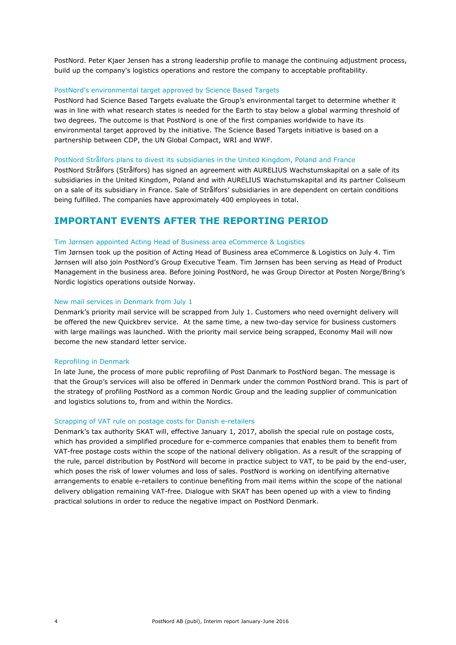PostNord. Peter Kjaer Jensen has a strong leadership profile to manage the continuing adjustment process, build up the company's logistics operations and restore the company to acceptable profitability.

#### PostNord's environmental target approved by Science Based Targets

PostNord had Science Based Targets evaluate the Group's environmental target to determine whether it was in line with what research states is needed for the Earth to stay below a global warming threshold of two degrees. The outcome is that PostNord is one of the first companies worldwide to have its environmental target approved by the initiative. The Science Based Targets initiative is based on a partnership between CDP, the UN Global Compact, WRI and WWF.

#### PostNord Strålfors plans to divest its subsidiaries in the United Kingdom, Poland and France

PostNord Strålfors (Strålfors) has signed an agreement with AURELIUS Wachstumskapital on a sale of its subsidiaries in the United Kingdom, Poland and with AURELIUS Wachstumskapital and its partner Coliseum on a sale of its subsidiary in France. Sale of Strålfors' subsidiaries in are dependent on certain conditions being fulfilled. The companies have approximately 400 employees in total.

### **IMPORTANT EVENTS AFTER THE REPORTING PERIOD**

#### Tim Jørnsen appointed Acting Head of Business area eCommerce & Logistics

Tim Jørnsen took up the position of Acting Head of Business area eCommerce & Logistics on July 4. Tim Jørnsen will also join PostNord's Group Executive Team. Tim Jørnsen has been serving as Head of Product Management in the business area. Before joining PostNord, he was Group Director at Posten Norge/Bring's Nordic logistics operations outside Norway.

#### New mail services in Denmark from July 1

Denmark's priority mail service will be scrapped from July 1. Customers who need overnight delivery will be offered the new Quickbrev service. At the same time, a new two-day service for business customers with large mailings was launched. With the priority mail service being scrapped, Economy Mail will now become the new standard letter service.

#### Reprofiling in Denmark

In late June, the process of more public reprofiling of Post Danmark to PostNord began. The message is that the Group's services will also be offered in Denmark under the common PostNord brand. This is part of the strategy of profiling PostNord as a common Nordic Group and the leading supplier of communication and logistics solutions to, from and within the Nordics.

#### Scrapping of VAT rule on postage costs for Danish e-retailers

Denmark's tax authority SKAT will, effective January 1, 2017, abolish the special rule on postage costs, which has provided a simplified procedure for e-commerce companies that enables them to benefit from VAT-free postage costs within the scope of the national delivery obligation. As a result of the scrapping of the rule, parcel distribution by PostNord will become in practice subject to VAT, to be paid by the end-user, which poses the risk of lower volumes and loss of sales. PostNord is working on identifying alternative arrangements to enable e-retailers to continue benefiting from mail items within the scope of the national delivery obligation remaining VAT-free. Dialogue with SKAT has been opened up with a view to finding practical solutions in order to reduce the negative impact on PostNord Denmark.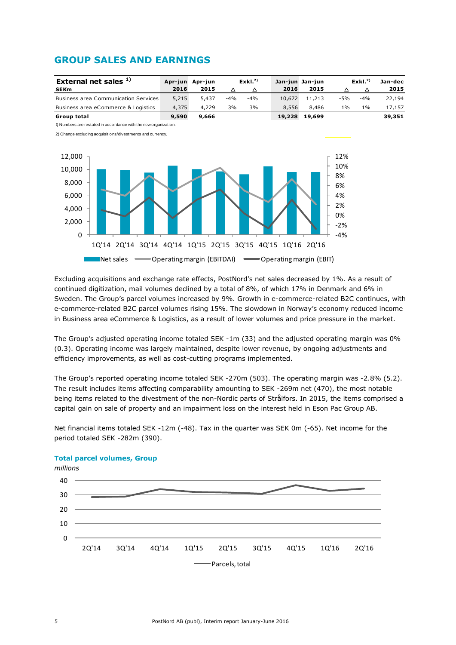## **GROUP SALES AND EARNINGS**





Excluding acquisitions and exchange rate effects, PostNord's net sales decreased by 1%. As a result of continued digitization, mail volumes declined by a total of 8%, of which 17% in Denmark and 6% in Sweden. The Group's parcel volumes increased by 9%. Growth in e-commerce-related B2C continues, with e-commerce-related B2C parcel volumes rising 15%. The slowdown in Norway's economy reduced income in Business area eCommerce & Logistics, as a result of lower volumes and price pressure in the market.

The Group's adjusted operating income totaled SEK -1m (33) and the adjusted operating margin was 0% (0.3). Operating income was largely maintained, despite lower revenue, by ongoing adjustments and efficiency improvements, as well as cost-cutting programs implemented.

The Group's reported operating income totaled SEK -270m (503). The operating margin was -2.8% (5.2). The result includes items affecting comparability amounting to SEK -269m net (470), the most notable being items related to the divestment of the non-Nordic parts of Strålfors. In 2015, the items comprised a capital gain on sale of property and an impairment loss on the interest held in Eson Pac Group AB.

Net financial items totaled SEK -12m (-48). Tax in the quarter was SEK 0m (-65). Net income for the period totaled SEK -282m (390).



### **Total parcel volumes, Group**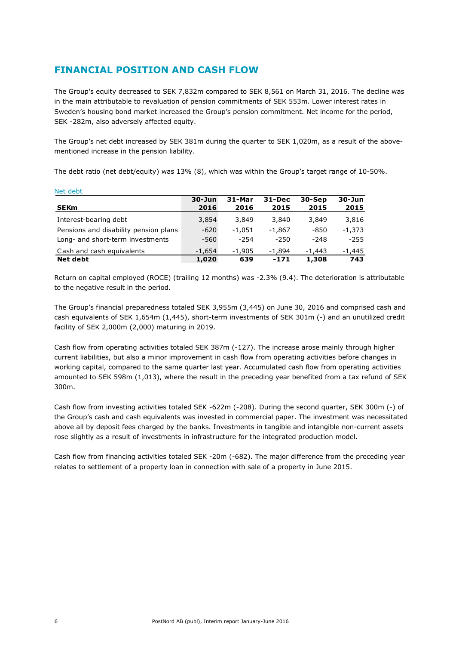## **FINANCIAL POSITION AND CASH FLOW**

The Group's equity decreased to SEK 7,832m compared to SEK 8,561 on March 31, 2016. The decline was in the main attributable to revaluation of pension commitments of SEK 553m. Lower interest rates in Sweden's housing bond market increased the Group's pension commitment. Net income for the period, SEK -282m, also adversely affected equity.

The Group's net debt increased by SEK 381m during the quarter to SEK 1,020m, as a result of the abovementioned increase in the pension liability.

The debt ratio (net debt/equity) was 13% (8), which was within the Group's target range of 10-50%.

| nuu uubu                              |            |          |            |          |            |
|---------------------------------------|------------|----------|------------|----------|------------|
|                                       | $30 - Jun$ | 31-Mar   | $31 - Dec$ | 30-Sep   | $30 - Jun$ |
| <b>SEKm</b>                           | 2016       | 2016     | 2015       | 2015     | 2015       |
| Interest-bearing debt                 | 3,854      | 3,849    | 3,840      | 3,849    | 3,816      |
| Pensions and disability pension plans | $-620$     | $-1.051$ | $-1.867$   | $-850$   | $-1.373$   |
| Long- and short-term investments      | $-560$     | $-254$   | $-250$     | $-248$   | $-255$     |
| Cash and cash equivalents             | $-1.654$   | $-1.905$ | $-1.894$   | $-1.443$ | -1,445     |
| <b>Net debt</b>                       | 1,020      | 639      | $-171$     | 1,308    | 743        |

Return on capital employed (ROCE) (trailing 12 months) was -2.3% (9.4). The deterioration is attributable to the negative result in the period.

The Group's financial preparedness totaled SEK 3,955m (3,445) on June 30, 2016 and comprised cash and cash equivalents of SEK 1,654m (1,445), short-term investments of SEK 301m (-) and an unutilized credit facility of SEK 2,000m (2,000) maturing in 2019.

Cash flow from operating activities totaled SEK 387m (-127). The increase arose mainly through higher current liabilities, but also a minor improvement in cash flow from operating activities before changes in working capital, compared to the same quarter last year. Accumulated cash flow from operating activities amounted to SEK 598m (1,013), where the result in the preceding year benefited from a tax refund of SEK 300m.

Cash flow from investing activities totaled SEK -622m (-208). During the second quarter, SEK 300m (-) of the Group's cash and cash equivalents was invested in commercial paper. The investment was necessitated above all by deposit fees charged by the banks. Investments in tangible and intangible non-current assets rose slightly as a result of investments in infrastructure for the integrated production model.

Cash flow from financing activities totaled SEK -20m (-682). The major difference from the preceding year relates to settlement of a property loan in connection with sale of a property in June 2015.

Net debt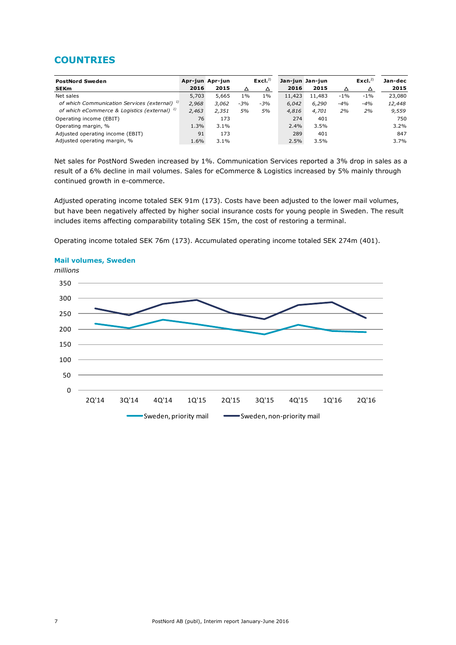### **COUNTRIES**

| <b>PostNord Sweden</b>                                   |       | Apr-jun Apr-jun |       | Excl. <sup>2</sup> | Jan-jun Jan-jun |        |        | Excl. $^{2)}$ | Jan-dec |
|----------------------------------------------------------|-------|-----------------|-------|--------------------|-----------------|--------|--------|---------------|---------|
| <b>SEKm</b>                                              | 2016  | 2015            | Δ     | Δ                  | 2016            | 2015   | Δ      | △             | 2015    |
| Net sales                                                | 5,703 | 5.665           | $1\%$ | $1\%$              | 11,423          | 11,483 | $-1\%$ | $-1\%$        | 23,080  |
| of which Communication Services (external) <sup>1)</sup> | 2,968 | 3,062           | $-3%$ | $-3%$              | 6,042           | 6,290  | $-4%$  | $-4%$         | 12,448  |
| of which eCommerce & Logistics (external) <sup>1)</sup>  | 2,463 | 2.351           | 5%    | 5%                 | 4,816           | 4.701  | 2%     | 2%            | 9,559   |
| Operating income (EBIT)                                  | 76    | 173             |       |                    | 274             | 401    |        |               | 750     |
| Operating margin, %                                      | 1.3%  | 3.1%            |       |                    | 2.4%            | 3.5%   |        |               | 3.2%    |
| Adjusted operating income (EBIT)                         | 91    | 173             |       |                    | 289             | 401    |        |               | 847     |
| Adjusted operating margin, %                             | 1.6%  | $3.1\%$         |       |                    | 2.5%            | 3.5%   |        |               | 3.7%    |

Net sales for PostNord Sweden increased by 1%. Communication Services reported a 3% drop in sales as a result of a 6% decline in mail volumes. Sales for eCommerce & Logistics increased by 5% mainly through continued growth in e-commerce.

Adjusted operating income totaled SEK 91m (173). Costs have been adjusted to the lower mail volumes, but have been negatively affected by higher social insurance costs for young people in Sweden. The result includes items affecting comparability totaling SEK 15m, the cost of restoring a terminal.

Operating income totaled SEK 76m (173). Accumulated operating income totaled SEK 274m (401).



### **Mail volumes, Sweden**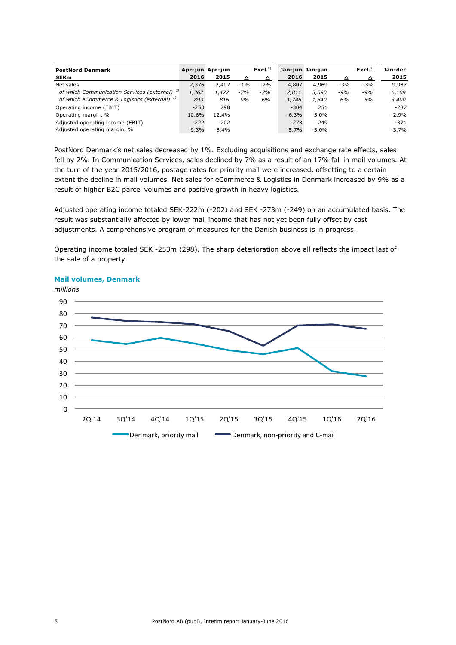| <b>PostNord Denmark</b>                                  |          | Apr-jun Apr-jun |       | Excl. <sup>2</sup> |         | Jan-jun Jan-jun |       | Excl. <sup>2</sup> | Jan-dec |
|----------------------------------------------------------|----------|-----------------|-------|--------------------|---------|-----------------|-------|--------------------|---------|
| <b>SEKm</b>                                              | 2016     | 2015            | Δ     | △                  | 2016    | 2015            | △     | △                  | 2015    |
| Net sales                                                | 2,376    | 2,402           | $-1%$ | $-2%$              | 4,807   | 4,969           | $-3%$ | $-3%$              | 9,987   |
| of which Communication Services (external) <sup>1)</sup> | 1,362    | 1,472           | $-7%$ | $-7%$              | 2,811   | 3,090           | $-9%$ | $-9%$              | 6,109   |
| of which eCommerce & Logistics (external) <sup>1)</sup>  | 893      | 816             | 9%    | 6%                 | 1,746   | 1,640           | 6%    | 5%                 | 3,400   |
| Operating income (EBIT)                                  | $-253$   | 298             |       |                    | $-304$  | 251             |       |                    | $-287$  |
| Operating margin, %                                      | $-10.6%$ | 12.4%           |       |                    | $-6.3%$ | 5.0%            |       |                    | $-2.9%$ |
| Adjusted operating income (EBIT)                         | $-222$   | $-202$          |       |                    | $-273$  | $-249$          |       |                    | $-371$  |
| Adjusted operating margin, %                             | $-9.3%$  | $-8.4%$         |       |                    | $-5.7%$ | $-5.0%$         |       |                    | $-3.7%$ |

PostNord Denmark's net sales decreased by 1%. Excluding acquisitions and exchange rate effects, sales fell by 2%. In Communication Services, sales declined by 7% as a result of an 17% fall in mail volumes. At the turn of the year 2015/2016, postage rates for priority mail were increased, offsetting to a certain extent the decline in mail volumes. Net sales for eCommerce & Logistics in Denmark increased by 9% as a result of higher B2C parcel volumes and positive growth in heavy logistics.

Adjusted operating income totaled SEK-222m (-202) and SEK -273m (-249) on an accumulated basis. The result was substantially affected by lower mail income that has not yet been fully offset by cost adjustments. A comprehensive program of measures for the Danish business is in progress.

Operating income totaled SEK -253m (298). The sharp deterioration above all reflects the impact last of the sale of a property.



#### **Mail volumes, Denmark**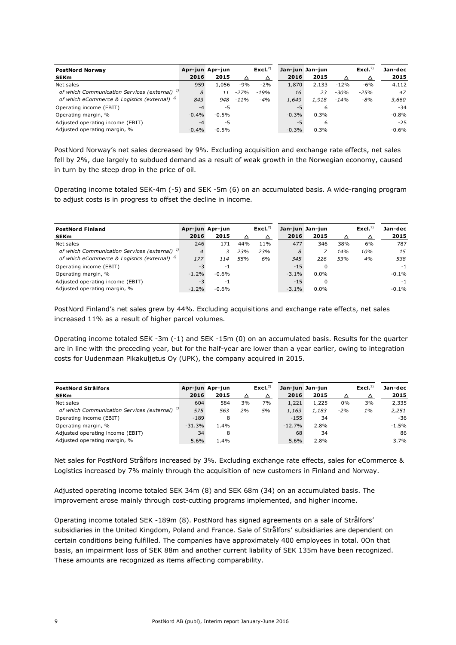| <b>PostNord Norway</b>                                   |          | Apr-jun Apr-jun |         | Excl. <sup>2</sup> |         | Jan-jun Jan-jun |        | Excl. $^{2)}$ | Jan-dec |
|----------------------------------------------------------|----------|-----------------|---------|--------------------|---------|-----------------|--------|---------------|---------|
| <b>SEKm</b>                                              | 2016     | 2015            | Δ       | Δ                  | 2016    | 2015            | Δ      | △             | 2015    |
| Net sales                                                | 959      | 1,056           | $-9%$   | $-2%$              | 1,870   | 2.133           | $-12%$ | $-6%$         | 4,112   |
| of which Communication Services (external) <sup>1)</sup> | 8        | 11              | -27%    | $-19%$             | 16      | 23              | $-30%$ | $-25%$        | 47      |
| of which eCommerce & Logistics (external) <sup>1)</sup>  | 843      | 948             | $-11\%$ | $-4%$              | 1,649   | 1,918           | -14%   | $-8%$         | 3,660   |
| Operating income (EBIT)                                  | $-4$     | -5              |         |                    | $-5$    | 6               |        |               | $-34$   |
| Operating margin, %                                      | $-0.4%$  | $-0.5%$         |         |                    | $-0.3%$ | 0.3%            |        |               | $-0.8%$ |
| Adjusted operating income (EBIT)                         | $-4$     | $-5$            |         |                    | $-5$    | 6               |        |               | $-25$   |
| Adjusted operating margin, %                             | $-0.4\%$ | $-0.5\%$        |         |                    | $-0.3%$ | 0.3%            |        |               | -0.6%   |

PostNord Norway's net sales decreased by 9%. Excluding acquisition and exchange rate effects, net sales fell by 2%, due largely to subdued demand as a result of weak growth in the Norwegian economy, caused in turn by the steep drop in the price of oil.

Operating income totaled SEK-4m (-5) and SEK -5m (6) on an accumulated basis. A wide-ranging program to adjust costs is in progress to offset the decline in income.

| <b>PostNord Finland</b>                                  |                | Apr-jun Apr-jun |     | Excl. <sup>2</sup> |          | Jan-jun Jan-jun |     | Excl. <sup>2</sup> | Jan-dec  |
|----------------------------------------------------------|----------------|-----------------|-----|--------------------|----------|-----------------|-----|--------------------|----------|
| <b>SEKm</b>                                              | 2016           | 2015            | Δ   |                    | 2016     | 2015            | Δ   |                    | 2015     |
| Net sales                                                | 246            | 171             | 44% | 11%                | 477      | 346             | 38% | 6%                 | 787      |
| of which Communication Services (external) <sup>1)</sup> | $\overline{4}$ | 3               | 23% | 23%                | 8        |                 | 14% | 10%                | 15       |
| of which eCommerce & Logistics (external) <sup>1)</sup>  | 177            | 114             | 55% | 6%                 | 345      | 226             | 53% | 4%                 | 538      |
| Operating income (EBIT)                                  | $-3$           | $-1$            |     |                    | $-15$    | 0               |     |                    | $-1$     |
| Operating margin, %                                      | $-1.2%$        | $-0.6%$         |     |                    | $-3.1\%$ | 0.0%            |     |                    | $-0.1\%$ |
| Adjusted operating income (EBIT)                         | $-3$           | $-1$            |     |                    | $-15$    | $\Omega$        |     |                    | -1       |
| Adjusted operating margin, %                             | $-1.2\%$       | $-0.6\%$        |     |                    | $-3.1\%$ | 0.0%            |     |                    | $-0.1\%$ |

PostNord Finland's net sales grew by 44%. Excluding acquisitions and exchange rate effects, net sales increased 11% as a result of higher parcel volumes.

Operating income totaled SEK -3m (-1) and SEK -15m (0) on an accumulated basis. Results for the quarter are in line with the preceding year, but for the half-year are lower than a year earlier, owing to integration costs for Uudenmaan Pikakuljetus Oy (UPK), the company acquired in 2015.

| <b>PostNord Strålfors</b><br><b>SEKm</b>                 | 2016     | Apr-jun Apr-jun<br>2015 | Δ  | Excl. <sup>2</sup><br>△ | 2016     | Jan-jun Jan-jun<br>2015 | △     | Excl. <sup>2</sup><br>△ | Jan-dec<br>2015 |
|----------------------------------------------------------|----------|-------------------------|----|-------------------------|----------|-------------------------|-------|-------------------------|-----------------|
|                                                          |          |                         |    |                         |          |                         |       |                         |                 |
| Net sales                                                | 604      | 584                     | 3% | 7%                      | 1,221    | 1,225                   | 0%    | 3%                      | 2,335           |
| of which Communication Services (external) <sup>1)</sup> | 575      | 563                     | 2% | 5%                      | 1,163    | 1,183                   | $-2%$ | 1%                      | 2,251           |
| Operating income (EBIT)                                  | $-189$   | 8                       |    |                         | $-155$   | 34                      |       |                         | $-36$           |
| Operating margin, %                                      | $-31.3%$ | 1.4%                    |    |                         | $-12.7%$ | 2.8%                    |       |                         | $-1.5%$         |
| Adjusted operating income (EBIT)                         | 34       | 8                       |    |                         | 68       | 34                      |       |                         | 86              |
| Adjusted operating margin, %                             | 5.6%     | 1.4%                    |    |                         | 5.6%     | 2.8%                    |       |                         | 3.7%            |

Net sales for PostNord Strålfors increased by 3%. Excluding exchange rate effects, sales for eCommerce & Logistics increased by 7% mainly through the acquisition of new customers in Finland and Norway.

Adjusted operating income totaled SEK 34m (8) and SEK 68m (34) on an accumulated basis. The improvement arose mainly through cost-cutting programs implemented, and higher income.

Operating income totaled SEK -189m (8). PostNord has signed agreements on a sale of Strålfors' subsidiaries in the United Kingdom, Poland and France. Sale of Strålfors' subsidiaries are dependent on certain conditions being fulfilled. The companies have approximately 400 employees in total. 0On that basis, an impairment loss of SEK 88m and another current liability of SEK 135m have been recognized. These amounts are recognized as items affecting comparability.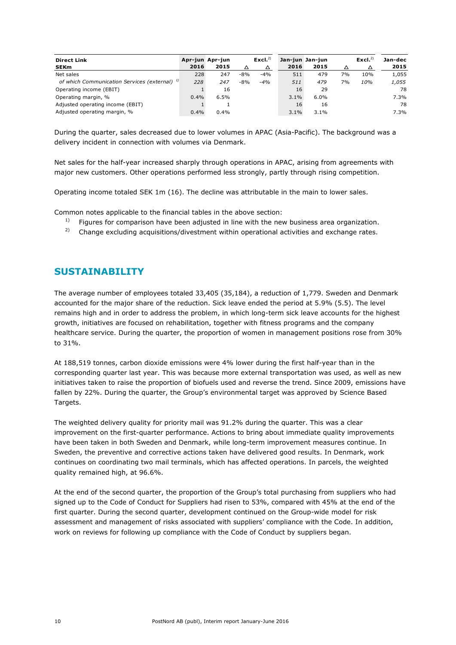| <b>Direct Link</b><br><b>SEKm</b>                        | 2016 | Apr-jun Apr-jun<br>2015 |       | Excl. <sup>2</sup> | 2016 | Jan-jun Jan-jun<br>2015 | Δ  | Excl. <sup>2</sup> | Jan-dec<br>2015 |
|----------------------------------------------------------|------|-------------------------|-------|--------------------|------|-------------------------|----|--------------------|-----------------|
| Net sales                                                | 228  | 247                     | $-8%$ | $-4%$              | 511  | 479                     | 7% | 10%                | 1,055           |
| of which Communication Services (external) <sup>1)</sup> | 228  | 247                     | $-8%$ | $-4%$              | 511  | 479                     | 7% | 10%                | 1,055           |
| Operating income (EBIT)                                  |      | 16                      |       |                    | 16   | 29                      |    |                    | 78              |
| Operating margin, %                                      | 0.4% | 6.5%                    |       |                    | 3.1% | 6.0%                    |    |                    | 7.3%            |
| Adjusted operating income (EBIT)                         |      |                         |       |                    | 16   | 16                      |    |                    | 78              |
| Adjusted operating margin, %                             | 0.4% | $0.4\%$                 |       |                    | 3.1% | 3.1%                    |    |                    | 7.3%            |

During the quarter, sales decreased due to lower volumes in APAC (Asia-Pacific). The background was a delivery incident in connection with volumes via Denmark.

Net sales for the half-year increased sharply through operations in APAC, arising from agreements with major new customers. Other operations performed less strongly, partly through rising competition.

Operating income totaled SEK 1m (16). The decline was attributable in the main to lower sales.

Common notes applicable to the financial tables in the above section:

- $1)$  Figures for comparison have been adjusted in line with the new business area organization.
- $2)$  Change excluding acquisitions/divestment within operational activities and exchange rates.

### **SUSTAINABILITY**

The average number of employees totaled 33,405 (35,184), a reduction of 1,779. Sweden and Denmark accounted for the major share of the reduction. Sick leave ended the period at 5.9% (5.5). The level remains high and in order to address the problem, in which long-term sick leave accounts for the highest growth, initiatives are focused on rehabilitation, together with fitness programs and the company healthcare service. During the quarter, the proportion of women in management positions rose from 30% to 31%.

At 188,519 tonnes, carbon dioxide emissions were 4% lower during the first half-year than in the corresponding quarter last year. This was because more external transportation was used, as well as new initiatives taken to raise the proportion of biofuels used and reverse the trend. Since 2009, emissions have fallen by 22%. During the quarter, the Group's environmental target was approved by Science Based Targets.

The weighted delivery quality for priority mail was 91.2% during the quarter. This was a clear improvement on the first-quarter performance. Actions to bring about immediate quality improvements have been taken in both Sweden and Denmark, while long-term improvement measures continue. In Sweden, the preventive and corrective actions taken have delivered good results. In Denmark, work continues on coordinating two mail terminals, which has affected operations. In parcels, the weighted quality remained high, at 96.6%.

At the end of the second quarter, the proportion of the Group's total purchasing from suppliers who had signed up to the Code of Conduct for Suppliers had risen to 53%, compared with 45% at the end of the first quarter. During the second quarter, development continued on the Group-wide model for risk assessment and management of risks associated with suppliers' compliance with the Code. In addition, work on reviews for following up compliance with the Code of Conduct by suppliers began.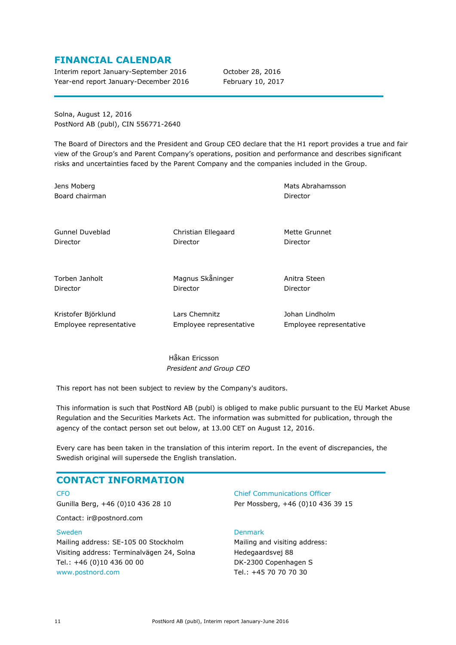### **FINANCIAL CALENDAR**

Interim report January-September 2016 October 28, 2016 Year-end report January-December 2016 February 10, 2017

Solna, August 12, 2016 PostNord AB (publ), CIN 556771-2640

The Board of Directors and the President and Group CEO declare that the H1 report provides a true and fair view of the Group's and Parent Company's operations, position and performance and describes significant risks and uncertainties faced by the Parent Company and the companies included in the Group.

Jens Moberg Board chairman

Gunnel Duveblad Director

Christian Ellegaard Director

Mette Grunnet Director

Director

Mats Abrahamsson

Torben Janholt Director

Magnus Skåninger Director

Anitra Steen Director

Kristofer Björklund Employee representative Lars Chemnitz Employee representative Johan Lindholm Employee representative

Håkan Ericsson *President and Group CEO*

This report has not been subject to review by the Company's auditors.

This information is such that PostNord AB (publ) is obliged to make public pursuant to the EU Market Abuse Regulation and the Securities Markets Act. The information was submitted for publication, through the agency of the contact person set out below, at 13.00 CET on August 12, 2016.

Every care has been taken in the translation of this interim report. In the event of discrepancies, the Swedish original will supersede the English translation.

### **CONTACT INFORMATION**

CEO Gunilla Berg, +46 (0)10 436 28 10

Contact: ir@postnord.com

#### Sweden

Mailing address: SE-105 00 Stockholm Visiting address: Terminalvägen 24, Solna Tel.: +46 (0)10 436 00 00 [www.postnord.com](http://www.postnord.com/)

Chief Communications Officer Per Mossberg, +46 (0)10 436 39 15

### Denmark

Mailing and visiting address: Hedegaardsvej 88 DK-2300 Copenhagen S Tel.: +45 70 70 70 30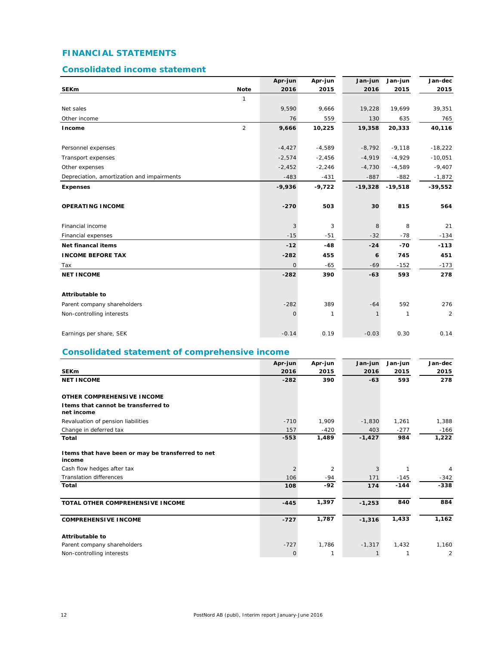### **FINANCIAL STATEMENTS**

### **Consolidated income statement**

|                                            |                | Apr-jun      | Apr-jun  | Jan-jun      | Jan-jun   | Jan-dec        |
|--------------------------------------------|----------------|--------------|----------|--------------|-----------|----------------|
| <b>SEKm</b>                                | <b>Note</b>    | 2016         | 2015     | 2016         | 2015      | 2015           |
|                                            | 1              |              |          |              |           |                |
| Net sales                                  |                | 9,590        | 9,666    | 19,228       | 19,699    | 39,351         |
| Other income                               |                | 76           | 559      | 130          | 635       | 765            |
| Income                                     | $\overline{2}$ | 9,666        | 10,225   | 19,358       | 20,333    | 40,116         |
| Personnel expenses                         |                | $-4,427$     | $-4,589$ | $-8,792$     | $-9,118$  | $-18,222$      |
| Transport expenses                         |                | $-2,574$     | $-2,456$ | $-4,919$     | $-4,929$  | $-10,051$      |
| Other expenses                             |                | $-2,452$     | $-2,246$ | $-4,730$     | $-4,589$  | $-9,407$       |
| Depreciation, amortization and impairments |                | $-483$       | $-431$   | $-887$       | $-882$    | $-1,872$       |
| <b>Expenses</b>                            |                | $-9,936$     | $-9,722$ | $-19,328$    | $-19,518$ | $-39,552$      |
| <b>OPERATING INCOME</b>                    |                | $-270$       | 503      | 30           | 815       | 564            |
| Financial income                           |                | 3            | 3        | 8            | 8         | 21             |
| Financial expenses                         |                | $-15$        | $-51$    | $-32$        | $-78$     | $-134$         |
| <b>Net financal items</b>                  |                | $-12$        | $-48$    | $-24$        | $-70$     | $-113$         |
| <b>INCOME BEFORE TAX</b>                   |                | $-282$       | 455      | 6            | 745       | 451            |
| Tax                                        |                | $\mathsf{O}$ | $-65$    | $-69$        | $-152$    | $-173$         |
| <b>NET INCOME</b>                          |                | $-282$       | 390      | $-63$        | 593       | 278            |
| <b>Attributable to</b>                     |                |              |          |              |           |                |
| Parent company shareholders                |                | $-282$       | 389      | $-64$        | 592       | 276            |
| Non-controlling interests                  |                | $\mathsf{O}$ | 1        | $\mathbf{1}$ | 1         | $\overline{c}$ |
| Earnings per share, SEK                    |                | $-0.14$      | 0.19     | $-0.03$      | 0.30      | 0.14           |

### **Consolidated statement of comprehensive income**

|                                                              | Apr-jun        | Apr-jun | Jan-jun  | Jan-jun | Jan-dec |
|--------------------------------------------------------------|----------------|---------|----------|---------|---------|
| <b>SEKm</b>                                                  | 2016           | 2015    | 2016     | 2015    | 2015    |
| <b>NET INCOME</b>                                            | $-282$         | 390     | $-63$    | 593     | 278     |
| OTHER COMPREHENSIVE INCOME                                   |                |         |          |         |         |
| I tems that cannot be transferred to<br>net income           |                |         |          |         |         |
| Revaluation of pension liabilities                           | $-710$         | 1,909   | $-1,830$ | 1,261   | 1,388   |
| Change in deferred tax                                       | 157            | $-420$  | 403      | $-277$  | $-166$  |
| Total                                                        | $-553$         | 1,489   | $-1,427$ | 984     | 1,222   |
| I tems that have been or may be transferred to net<br>income |                |         |          |         |         |
| Cash flow hedges after tax                                   | $\overline{2}$ | 2       | 3        |         | 4       |
| <b>Translation differences</b>                               | 106            | $-94$   | 171      | $-145$  | $-342$  |
| Total                                                        | 108            | $-92$   | 174      | $-144$  | $-338$  |
| TOTAL OTHER COMPREHENSIVE INCOME                             | $-445$         | 1,397   | $-1,253$ | 840     | 884     |
| <b>COMPREHENSIVE INCOME</b>                                  | $-727$         | 1,787   | $-1,316$ | 1,433   | 1,162   |
| <b>Attributable to</b>                                       |                |         |          |         |         |
| Parent company shareholders                                  | $-727$         | 1,786   | $-1,317$ | 1,432   | 1,160   |
| Non-controlling interests                                    | 0              | 1       |          |         | 2       |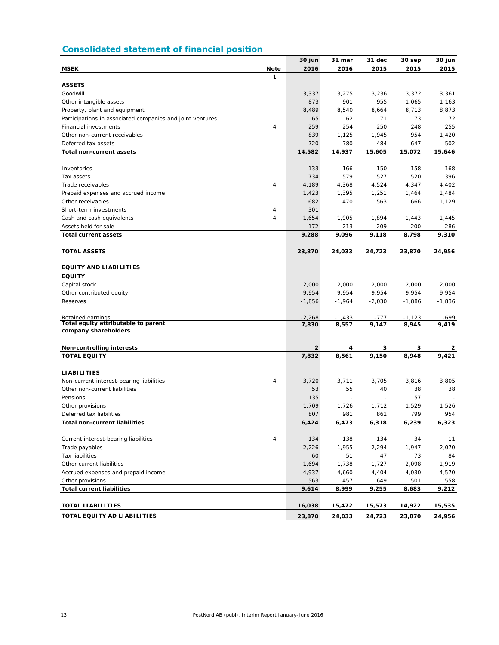### **Consolidated statement of financial position**

|                                                           |                             | 30 jun   | 31 mar     | 31 dec     | 30 sep     | 30 jun     |
|-----------------------------------------------------------|-----------------------------|----------|------------|------------|------------|------------|
| <b>MSEK</b>                                               | <b>Note</b><br>$\mathbf{1}$ | 2016     | 2016       | 2015       | 2015       | 2015       |
| <b>ASSETS</b>                                             |                             |          |            |            |            |            |
| Goodwill                                                  |                             | 3,337    | 3,275      | 3,236      | 3,372      | 3,361      |
| Other intangible assets                                   |                             | 873      | 901        | 955        | 1,065      | 1,163      |
| Property, plant and equipment                             |                             | 8,489    | 8,540      | 8,664      | 8,713      | 8,873      |
| Participations in associated companies and joint ventures |                             | 65       | 62         | 71         | 73         | 72         |
| Financial investments                                     | 4                           | 259      | 254        | 250        | 248        | 255        |
| Other non-current receivables                             |                             | 839      | 1,125      | 1,945      | 954        | 1,420      |
| Deferred tax assets                                       |                             | 720      | 780        | 484        | 647        | 502        |
| <b>Total non-current assets</b>                           |                             | 14,582   | 14,937     | 15,605     | 15,072     | 15,646     |
|                                                           |                             |          |            |            |            |            |
| Inventories                                               |                             | 133      | 166        | 150        | 158        | 168        |
| Tax assets                                                |                             | 734      | 579        | 527        | 520        | 396        |
| Trade receivables                                         | $\sqrt{4}$                  | 4,189    | 4,368      | 4,524      | 4,347      | 4,402      |
| Prepaid expenses and accrued income                       |                             | 1,423    | 1,395      | 1,251      | 1,464      | 1,484      |
| Other receivables                                         |                             | 682      | 470        | 563        | 666        | 1,129      |
| Short-term investments                                    | 4                           | 301      |            |            |            |            |
| Cash and cash equivalents                                 | 4                           | 1,654    | 1,905      | 1,894      | 1,443      | 1,445      |
| Assets held for sale                                      |                             | 172      | 213        | 209        | 200        | 286        |
| <b>Total current assets</b>                               |                             | 9,288    | 9,096      | 9,118      | 8,798      | 9,310      |
|                                                           |                             |          |            |            |            |            |
| <b>TOTAL ASSETS</b>                                       |                             | 23,870   | 24,033     | 24,723     | 23,870     | 24,956     |
| <b>EQUITY AND LIABILITIES</b>                             |                             |          |            |            |            |            |
| <b>EQUITY</b>                                             |                             |          |            |            |            |            |
| Capital stock                                             |                             | 2,000    | 2,000      | 2,000      | 2,000      | 2,000      |
| Other contributed equity                                  |                             | 9,954    | 9,954      | 9,954      | 9,954      | 9,954      |
| Reserves                                                  |                             | $-1,856$ | $-1,964$   | $-2,030$   | $-1,886$   | $-1,836$   |
|                                                           |                             |          |            |            |            |            |
| Retained earnings                                         |                             | $-2,268$ | $-1,433$   | -777       | $-1,123$   | -699       |
| Total equity attributable to parent                       |                             | 7,830    | 8,557      | 9,147      | 8,945      | 9,419      |
| company shareholders                                      |                             |          |            |            |            |            |
|                                                           |                             | 2        |            |            |            |            |
| <b>Non-controlling interests</b><br><b>TOTAL EQUITY</b>   |                             | 7,832    | 4<br>8,561 | з<br>9,150 | 3<br>8,948 | 2<br>9,421 |
|                                                           |                             |          |            |            |            |            |
| <b>LIABILITIES</b>                                        |                             |          |            |            |            |            |
| Non-current interest-bearing liabilities                  | $\overline{4}$              | 3,720    | 3,711      | 3,705      | 3,816      | 3.805      |
| Other non-current liabilities                             |                             | 53       | 55         | 40         | 38         | 38         |
| Pensions                                                  |                             | 135      |            |            | 57         |            |
| Other provisions                                          |                             | 1,709    | 1,726      | 1,712      | 1,529      | 1,526      |
| Deferred tax liabilities                                  |                             | 807      | 981        | 861        | 799        | 954        |
| <b>Total non-current liabilities</b>                      |                             | 6,424    | 6,473      | 6,318      | 6,239      | 6,323      |
|                                                           |                             |          |            |            |            |            |
| Current interest-bearing liabilities                      | $\overline{\mathbf{4}}$     | 134      | 138        | 134        | 34         | 11         |
| Trade payables                                            |                             | 2,226    | 1,955      | 2,294      | 1,947      | 2,070      |
| Tax liabilities                                           |                             | 60       | 51         | 47         | 73         | 84         |
| Other current liabilities                                 |                             | 1,694    | 1,738      | 1,727      | 2,098      | 1,919      |
| Accrued expenses and prepaid income                       |                             | 4,937    | 4,660      | 4,404      | 4,030      | 4,570      |
| Other provisions                                          |                             | 563      | 457        | 649        | 501        | 558        |
| <b>Total current liabilities</b>                          |                             | 9,614    | 8,999      | 9,255      | 8,683      | 9,212      |
| <b>TOTAL LIABILITIES</b>                                  |                             | 16,038   | 15,472     | 15,573     | 14,922     | 15,535     |
| TOTAL EQUITY AD LIABILITIES                               |                             | 23,870   | 24,033     | 24,723     | 23,870     | 24,956     |
|                                                           |                             |          |            |            |            |            |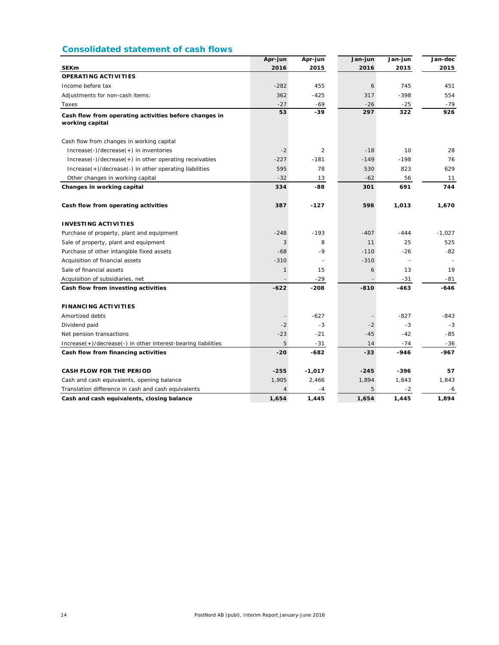### **Consolidated statement of cash flows**

|                                                                          | Apr-jun        | Apr-jun        | Jan-jun | Jan-jun | Jan-dec  |
|--------------------------------------------------------------------------|----------------|----------------|---------|---------|----------|
| <b>SEKm</b>                                                              | 2016           | 2015           | 2016    | 2015    | 2015     |
| <b>OPERATING ACTIVITIES</b>                                              |                |                |         |         |          |
| Income before tax                                                        | $-282$         | 455            | 6       | 745     | 451      |
| Adjustments for non-cash items:                                          | 362            | $-425$         | 317     | $-398$  | 554      |
| Taxes                                                                    | $-27$          | $-69$          | $-26$   | $-25$   | $-79$    |
| Cash flow from operating activities before changes in<br>working capital | 53             | $-39$          | 297     | 322     | 926      |
| Cash flow from changes in working capital                                |                |                |         |         |          |
| Increase(-)/decrease(+) in inventories                                   | $-2$           | $\overline{2}$ | $-18$   | 10      | 28       |
| $Increase(-)/decrease(+)$ in other operating receivables                 | $-227$         | $-181$         | $-149$  | $-198$  | 76       |
| Increase(+)/decrease(-) in other operating liabilities                   | 595            | 78             | 530     | 823     | 629      |
| Other changes in working capital                                         | $-32$          | 13             | $-62$   | 56      | 11       |
| Changes in working capital                                               | 334            | -88            | 301     | 691     | 744      |
| Cash flow from operating activities                                      | 387            | $-127$         | 598     | 1,013   | 1,670    |
| <b>INVESTING ACTIVITIES</b>                                              |                |                |         |         |          |
| Purchase of property, plant and equipment                                | $-248$         | $-193$         | $-407$  | $-444$  | $-1,027$ |
| Sale of property, plant and equipment                                    | 3              | 8              | 11      | 25      | 525      |
| Purchase of other intangible fixed assets                                | $-68$          | -9             | $-110$  | $-26$   | $-82$    |
| Acquisition of financial assets                                          | $-310$         |                | $-310$  |         |          |
| Sale of financial assets                                                 | $\mathbf{1}$   | 15             | 6       | 13      | 19       |
| Acquisition of subsidiaries, net                                         |                | $-29$          |         | $-31$   | $-81$    |
| Cash flow from investing activities                                      | $-622$         | $-208$         | $-810$  | -463    | $-646$   |
| <b>FINANCING ACTIVITIES</b>                                              |                |                |         |         |          |
| Amortized debts                                                          |                | $-627$         |         | $-827$  | -843     |
| Dividend paid                                                            | $-2$           | $-3$           | $-2$    | $-3$    | $-3$     |
| Net pension transactions                                                 | $-23$          | $-21$          | $-45$   | $-42$   | $-85$    |
| Increase(+)/decrease(-) in other interest-bearing liabilities            | 5              | $-31$          | 14      | $-74$   | $-36$    |
| Cash flow from financing activities                                      | $-20$          | -682           | $-33$   | -946    | $-967$   |
| <b>CASH FLOW FOR THE PERIOD</b>                                          | $-255$         | $-1,017$       | $-245$  | $-396$  | 57       |
| Cash and cash equivalents, opening balance                               | 1,905          | 2,466          | 1,894   | 1,843   | 1,843    |
| Translation difference in cash and cash equivalents                      | $\overline{4}$ | -4             | 5       | $-2$    | -6       |
| Cash and cash equivalents, closing balance                               | 1,654          | 1,445          | 1,654   | 1,445   | 1,894    |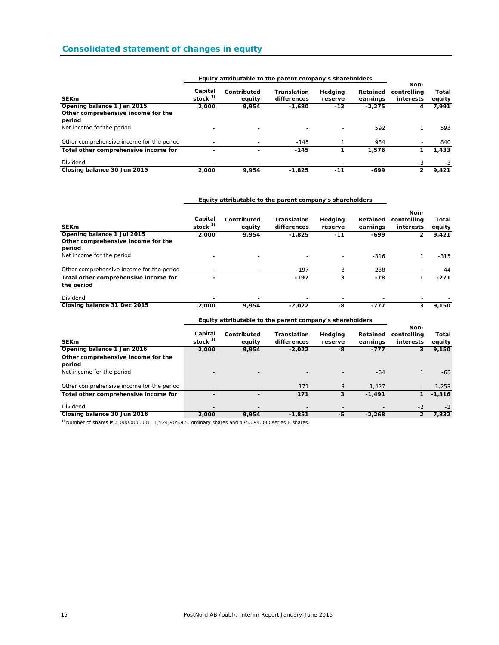### **Consolidated statement of changes in equity**

|                                              |                      | Equity attributable to the parent company 3 shareholders |                            |                          |                      |                                  |                 |
|----------------------------------------------|----------------------|----------------------------------------------------------|----------------------------|--------------------------|----------------------|----------------------------------|-----------------|
| <b>SEK<sub>m</sub></b>                       | Capital<br>stock $1$ | Contributed<br>equity                                    | Translation<br>differences | Hedging<br>reserve       | Retained<br>earnings | Non-<br>controlling<br>interests | Total<br>equity |
| Opening balance 1 Jan 2015                   | 2,000                | 9,954                                                    | $-1.680$                   | $-12$                    | $-2.275$             | 4                                | 7,991           |
| Other comprehensive income for the<br>period |                      |                                                          |                            |                          |                      |                                  |                 |
| Net income for the period                    |                      |                                                          |                            | $\overline{\phantom{0}}$ | 592                  |                                  | 593             |
| Other comprehensive income for the period    |                      |                                                          | $-145$                     |                          | 984                  |                                  | 840             |
| Total other comprehensive income for         |                      |                                                          | $-145$                     |                          | 1,576                |                                  | 1,433           |
| Dividend                                     |                      |                                                          |                            |                          |                      | -3                               | -3              |
| Closing balance 30 Jun 2015                  | 2,000                | 9.954                                                    | $-1,825$                   | $-11$                    | $-699$               | 2                                | 9.421           |

### **Equity attributable to the parent company's shareholders**

#### **Equity attributable to the parent company's shareholders**

|                                           |                                |                       |                                   |                          |                      | Non-                     |                 |
|-------------------------------------------|--------------------------------|-----------------------|-----------------------------------|--------------------------|----------------------|--------------------------|-----------------|
| <b>SEKm</b>                               | Capital<br>stock <sup>1)</sup> | Contributed<br>equity | <b>Translation</b><br>differences | Hedging<br>reserve       | Retained<br>earnings | controlling<br>interests | Total<br>equity |
| Opening balance 1 Jul 2015                | 2,000                          | 9,954                 | $-1,825$                          | $-11$                    | -699                 | 2                        | 9,421           |
| Other comprehensive income for the        |                                |                       |                                   |                          |                      |                          |                 |
| period                                    |                                |                       |                                   |                          |                      |                          |                 |
| Net income for the period                 | $\overline{\phantom{0}}$       |                       |                                   | $\overline{\phantom{0}}$ | $-316$               |                          | $-315$          |
| Other comprehensive income for the period |                                |                       | $-197$                            | 3                        | 238                  |                          | 44              |
| Total other comprehensive income for      | $\overline{\phantom{0}}$       |                       | $-197$                            | 3                        | -78                  |                          | $-271$          |
| the period                                |                                |                       |                                   |                          |                      |                          |                 |
| Dividend                                  |                                |                       |                                   |                          |                      |                          |                 |
| Closing balance 31 Dec 2015               | 2,000                          | 9.954                 | $-2.022$                          | -8                       | $-777$               |                          | 9.150           |

### **Equity attributable to the parent company's shareholders**

|                                              | . .                      |                       |                                   | . .                |                      |                                  |                 |
|----------------------------------------------|--------------------------|-----------------------|-----------------------------------|--------------------|----------------------|----------------------------------|-----------------|
| <b>SEKm</b>                                  | Capital<br>stock $1$     | Contributed<br>equity | <b>Translation</b><br>differences | Hedging<br>reserve | Retained<br>earnings | Non-<br>controlling<br>interests | Total<br>equity |
| Opening balance 1 Jan 2016                   | 2,000                    | 9,954                 | $-2,022$                          | -8                 | $-777$               | 3                                | 9,150           |
| Other comprehensive income for the<br>period |                          |                       |                                   |                    |                      |                                  |                 |
| Net income for the period                    |                          |                       |                                   |                    | $-64$                |                                  | $-63$           |
| Other comprehensive income for the period    |                          |                       | 171                               | 3                  | $-1.427$             |                                  | $-1,253$        |
| Total other comprehensive income for         | $\overline{\phantom{0}}$ |                       | 171                               | 3                  | $-1.491$             |                                  | $-1,316$        |
| Dividend                                     | $\overline{\phantom{0}}$ |                       | $\overline{\phantom{a}}$          |                    |                      | $-2$                             | $-2$            |
| Closing balance 30 Jun 2016                  | 2,000                    | 9.954                 | $-1.851$                          | -5                 | $-2.268$             | 2                                | 7,832           |

 $1)$  Number of shares is 2,000,000,001: 1,524,905,971 ordinary shares and 475,094,030 series B shares.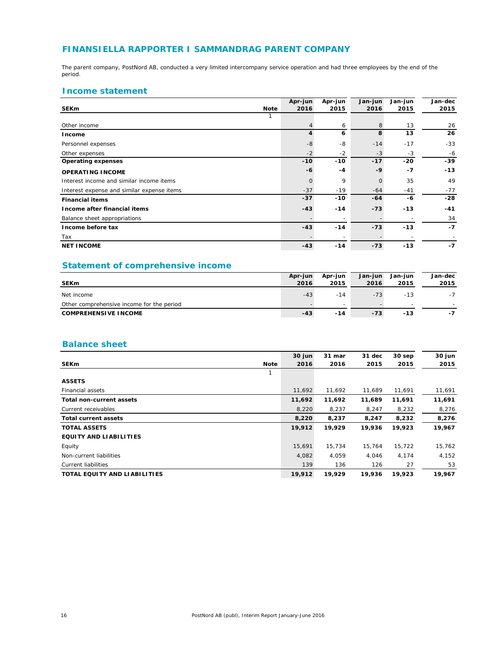### **FINANSIELLA RAPPORTER I SAMMANDRAG PARENT COMPANY**

The parent company, PostNord AB, conducted a very limited intercompany service operation and had three employees by the end of the period.

### **Income statement**

|                                            |             | Apr-jun  | Apr-jun | Jan-jun      | Jan-jun | Jan-dec |
|--------------------------------------------|-------------|----------|---------|--------------|---------|---------|
| <b>SEKm</b>                                | <b>Note</b> | 2016     | 2015    | 2016         | 2015    | 2015    |
|                                            |             |          |         |              |         |         |
| Other income                               |             |          | 6       | 8            | 13      | 26      |
| Income                                     |             | 4        | 6       | 8            | 13      | 26      |
| Personnel expenses                         |             | $-8$     | $-8$    | $-14$        | $-17$   | $-33$   |
| Other expenses                             |             | $-2$     | $-2$    | $-3$         | $-3$    | -6      |
| <b>Operating expenses</b>                  |             | $-10$    | $-10$   | $-17$        | $-20$   | $-39$   |
| <b>OPERATING INCOME</b>                    |             | -6       | $-4$    | $-9$         | $-7$    | $-13$   |
| Interest income and similar income items   |             | $\Omega$ | 9       | $\mathbf{O}$ | 35      | 49      |
| Interest expense and similar expense items |             | $-37$    | $-19$   | $-64$        | $-41$   | $-77$   |
| <b>Financial items</b>                     |             | $-37$    | $-10$   | $-64$        | $-6$    | $-28$   |
| Income after financial items               |             | $-43$    | $-14$   | $-73$        | $-13$   | $-41$   |
| Balance sheet appropriations               |             |          |         |              |         | 34      |
| Income before tax                          |             | $-43$    | $-14$   | $-73$        | $-13$   | $-7$    |
| Tax                                        |             |          |         |              |         |         |
| <b>NET INCOME</b>                          |             | $-43$    | $-14$   | $-73$        | $-13$   | $-7$    |

### **Statement of comprehensive income**

|                                           | Apr-jun | Apr-jun | Jan-jun | Jan-iun                  | Jan-dec |
|-------------------------------------------|---------|---------|---------|--------------------------|---------|
| <b>SEKm</b>                               | 2016    | 2015    | 2016    | 2015                     | 2015    |
| Net income                                | $-43$   | $-14$   | $-73$   | $-13$                    | $-7$    |
| Other comprehensive income for the period |         | -       |         | $\overline{\phantom{a}}$ |         |
| <b>COMPREHENSIVE INCOME</b>               | $-43$   | $-14$   | $-73$   | $-13$                    | -7      |

### **Balance sheet**

|                                 |             | 30 jun | 31 mar | 31 dec | $30$ sep | 30 jun |
|---------------------------------|-------------|--------|--------|--------|----------|--------|
| <b>SEKm</b>                     | <b>Note</b> | 2016   | 2016   | 2015   | 2015     | 2015   |
|                                 | 1           |        |        |        |          |        |
| <b>ASSETS</b>                   |             |        |        |        |          |        |
| <b>Financial assets</b>         |             | 11,692 | 11,692 | 11,689 | 11,691   | 11,691 |
| <b>Total non-current assets</b> |             | 11,692 | 11,692 | 11,689 | 11,691   | 11,691 |
| Current receivables             |             | 8,220  | 8,237  | 8,247  | 8,232    | 8,276  |
| <b>Total current assets</b>     |             | 8,220  | 8,237  | 8,247  | 8,232    | 8,276  |
| <b>TOTAL ASSETS</b>             |             | 19,912 | 19,929 | 19,936 | 19,923   | 19,967 |
| <b>EQUITY AND LIABILITIES</b>   |             |        |        |        |          |        |
| Equity                          |             | 15,691 | 15,734 | 15,764 | 15,722   | 15,762 |
| Non-current liabilities         |             | 4,082  | 4,059  | 4,046  | 4,174    | 4,152  |
| Current liabilities             |             | 139    | 136    | 126    | 27       | 53     |
| TOTAL EQUITY AND LIABILITIES    |             | 19,912 | 19,929 | 19,936 | 19,923   | 19,967 |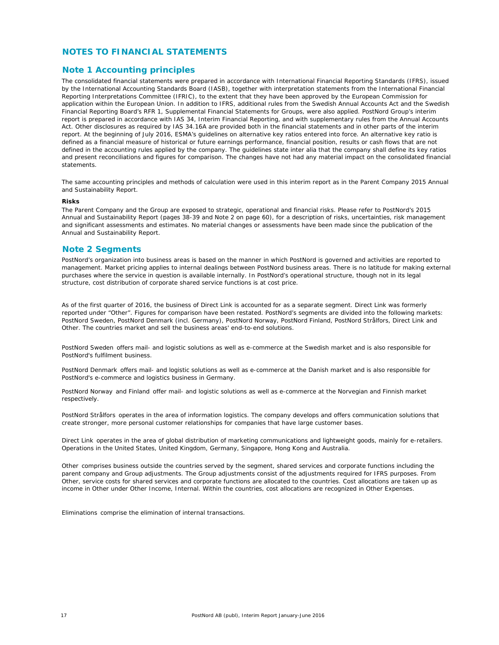### **NOTES TO FINANCIAL STATEMENTS**

#### **Note 1 Accounting principles**

The consolidated financial statements were prepared in accordance with International Financial Reporting Standards (IFRS), issued by the International Accounting Standards Board (IASB), together with interpretation statements from the International Financial Reporting Interpretations Committee (IFRIC), to the extent that they have been approved by the European Commission for application within the European Union. In addition to IFRS, additional rules from the Swedish Annual Accounts Act and the Swedish Financial Reporting Board's RFR 1, Supplemental Financial Statements for Groups, were also applied. PostNord Group's interim report is prepared in accordance with IAS 34, Interim Financial Reporting, and with supplementary rules from the Annual Accounts Act. Other disclosures as required by IAS 34.16A are provided both in the financial statements and in other parts of the interim report. At the beginning of July 2016, ESMA's guidelines on alternative key ratios entered into force. An alternative key ratio is defined as a financial measure of historical or future earnings performance, financial position, results or cash flows that are not defined in the accounting rules applied by the company. The guidelines state inter alia that the company shall define its key ratios and present reconciliations and figures for comparison. The changes have not had any material impact on the consolidated financial statements.

The same accounting principles and methods of calculation were used in this interim report as in the Parent Company 2015 Annual and Sustainability Report.

#### **Risks**

The Parent Company and the Group are exposed to strategic, operational and financial risks. Please refer to PostNord's 2015 Annual and Sustainability Report (pages 38-39 and Note 2 on page 60), for a description of risks, uncertainties, risk management and significant assessments and estimates. No material changes or assessments have been made since the publication of the Annual and Sustainability Report.

#### **Note 2 Segments**

PostNord's organization into business areas is based on the manner in which PostNord is governed and activities are reported to management. Market pricing applies to internal dealings between PostNord business areas. There is no latitude for making external purchases where the service in question is available internally. In PostNord's operational structure, though not in its legal structure, cost distribution of corporate shared service functions is at cost price.

As of the first quarter of 2016, the business of Direct Link is accounted for as a separate segment. Direct Link was formerly reported under "Other". Figures for comparison have been restated. PostNord's segments are divided into the following markets: PostNord Sweden, PostNord Denmark (incl. Germany), PostNord Norway, PostNord Finland, PostNord Strålfors, Direct Link and Other. The countries market and sell the business areas' end-to-end solutions.

*PostNord Sweden* offers mail- and logistic solutions as well as e-commerce at the Swedish market and is also responsible for PostNord's fulfilment business.

*PostNord Denmark* offers mail- and logistic solutions as well as e-commerce at the Danish market and is also responsible for PostNord's e-commerce and logistics business in Germany.

*PostNord Norway* and *Finland* offer mail- and logistic solutions as well as e-commerce at the Norvegian and Finnish market respectively.

*PostNord Strålfors* operates in the area of information logistics. The company develops and offers communication solutions that create stronger, more personal customer relationships for companies that have large customer bases.

*Direct Link* operates in the area of global distribution of marketing communications and lightweight goods, mainly for e-retailers. Operations in the United States, United Kingdom, Germany, Singapore, Hong Kong and Australia.

*Other* comprises business outside the countries served by the segment, shared services and corporate functions including the parent company and Group adjustments. The Group adjustments consist of the adjustments required for IFRS purposes. From Other, service costs for shared services and corporate functions are allocated to the countries. Cost allocations are taken up as income in Other under Other Income, Internal. Within the countries, cost allocations are recognized in Other Expenses.

*Eliminations* comprise the elimination of internal transactions.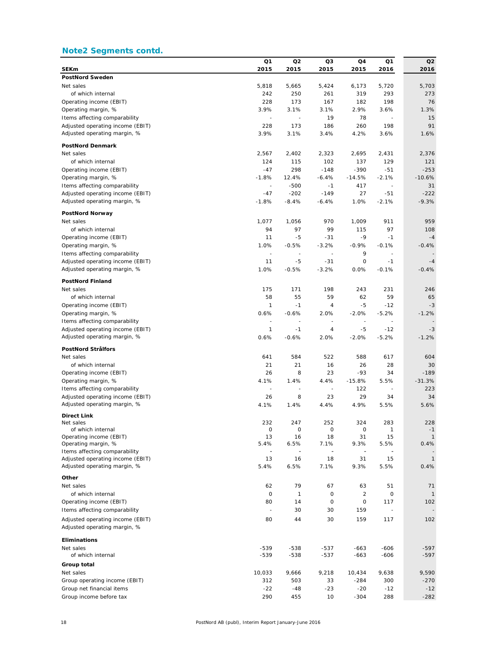### **Note2 Segments contd.**

|                                                      | Q1      | Q2      | Q3                       | Q4                       | Q1                           | Q2            |
|------------------------------------------------------|---------|---------|--------------------------|--------------------------|------------------------------|---------------|
| <b>SEKm</b>                                          | 2015    | 2015    | 2015                     | 2015                     | 2016                         | 2016          |
| <b>PostNord Sweden</b>                               |         |         |                          |                          |                              |               |
| Net sales                                            | 5.818   | 5,665   | 5,424                    | 6,173                    | 5,720                        | 5,703         |
| of which internal                                    | 242     | 250     | 261                      | 319                      | 293                          | 273           |
| Operating income (EBIT)                              | 228     | 173     | 167                      | 182                      | 198                          | 76            |
| Operating margin, %                                  | 3.9%    | 3.1%    | 3.1%                     | 2.9%                     | 3.6%                         | 1.3%          |
| Items affecting comparability                        | ÷,      | ÷,      | 19                       | 78                       |                              | 15            |
| Adjusted operating income (EBIT)                     | 228     | 173     | 186                      | 260                      | 198                          | 91            |
| Adjusted operating margin, %                         | 3.9%    | 3.1%    | 3.4%                     | 4.2%                     | 3.6%                         | 1.6%          |
| <b>PostNord Denmark</b>                              |         |         |                          |                          |                              |               |
| Net sales                                            | 2,567   | 2,402   | 2,323                    | 2,695                    | 2,431                        | 2,376         |
| of which internal                                    | 124     | 115     | 102                      | 137                      | 129                          | 121           |
| Operating income (EBIT)                              | $-47$   | 298     | $-148$                   | $-390$                   | $-51$                        | $-253$        |
| Operating margin, %                                  | $-1.8%$ | 12.4%   | $-6.4%$                  | $-14.5%$                 | $-2.1%$                      | $-10.6%$      |
| Items affecting comparability                        | ÷,      | $-500$  | $-1$                     | 417                      |                              | 31            |
| Adjusted operating income (EBIT)                     | $-47$   | $-202$  | $-149$                   | 27                       | $-51$                        | $-222$        |
| Adjusted operating margin, %                         | $-1.8%$ | $-8.4%$ | $-6.4%$                  | 1.0%                     | $-2.1%$                      | $-9.3%$       |
|                                                      |         |         |                          |                          |                              |               |
| <b>PostNord Norway</b><br>Net sales                  | 1,077   | 1,056   | 970                      | 1,009                    | 911                          | 959           |
| of which internal                                    | 94      | 97      | 99                       | 115                      | 97                           | 108           |
| Operating income (EBIT)                              | 11      | -5      | $-31$                    | $-9$                     | $-1$                         | $-4$          |
|                                                      | 1.0%    | $-0.5%$ | $-3.2%$                  | $-0.9%$                  | $-0.1%$                      | $-0.4%$       |
| Operating margin, %<br>Items affecting comparability | ÷,      | ÷,      | ä,                       | 9                        | $\overline{a}$               |               |
| Adjusted operating income (EBIT)                     | 11      | -5      | $-31$                    | 0                        | $-1$                         |               |
| Adjusted operating margin, %                         | 1.0%    | $-0.5%$ | $-3.2%$                  | 0.0%                     | $-0.1%$                      | -4<br>$-0.4%$ |
|                                                      |         |         |                          |                          |                              |               |
| <b>PostNord Finland</b>                              |         |         |                          |                          |                              |               |
| Net sales                                            | 175     | 171     | 198                      | 243                      | 231                          | 246           |
| of which internal                                    | 58      | 55      | 59                       | 62                       | 59                           | 65            |
| Operating income (EBIT)                              | 1       | $-1$    | 4                        | $-5$                     | $-12$                        | $-3$          |
| Operating margin, %                                  | 0.6%    | $-0.6%$ | 2.0%                     | $-2.0%$                  | $-5.2%$                      | $-1.2%$       |
| Items affecting comparability                        | ÷,      | ÷,      | $\overline{\phantom{a}}$ | $\overline{\phantom{a}}$ | $\sim$                       |               |
| Adjusted operating income (EBIT)                     | 1       | $-1$    | 4                        | -5                       | $-12$                        | -3            |
| Adjusted operating margin, %                         | 0.6%    | $-0.6%$ | 2.0%                     | $-2.0%$                  | $-5.2%$                      | $-1.2%$       |
| PostNord Strålfors                                   |         |         |                          |                          |                              |               |
| Net sales                                            | 641     | 584     | 522                      | 588                      | 617                          | 604           |
| of which internal                                    | 21      | 21      | 16                       | 26                       | 28                           | 30            |
| Operating income (EBIT)                              | 26      | 8       | 23                       | $-93$                    | 34                           | $-189$        |
| Operating margin, %                                  | 4.1%    | 1.4%    | 4.4%                     | $-15.8%$                 | 5.5%                         | $-31.3%$      |
| Items affecting comparability                        |         |         | $\overline{\phantom{a}}$ | 122                      |                              | 223           |
| Adjusted operating income (EBIT)                     | 26      | 8       | 23                       | 29                       | 34                           | 34            |
| Adjusted operating margin, %                         | 4.1%    | 1.4%    | 4.4%                     | 4.9%                     | 5.5%                         | 5.6%          |
|                                                      |         |         |                          |                          |                              |               |
| Direct Link<br>Net sales                             | 232     | 247     | 252                      | 324                      | 283                          | 228           |
| of which internal                                    | 0       | 0       | 0                        | 0                        | 1                            | $-1$          |
| Operating income (EBIT)                              | 13      | 16      | 18                       | 31                       | 15                           | $\mathbf{1}$  |
| Operating margin, %                                  | 5.4%    | 6.5%    | 7.1%                     | 9.3%                     | 5.5%                         | 0.4%          |
| Items affecting comparability                        |         |         | $\blacksquare$           | $\overline{\phantom{a}}$ | $\qquad \qquad \blacksquare$ |               |
| Adjusted operating income (EBIT)                     | 13      | 16      | 18                       | 31                       | 15                           | $\mathbf{1}$  |
| Adjusted operating margin, %                         | 5.4%    | 6.5%    | 7.1%                     | 9.3%                     | 5.5%                         | 0.4%          |
| Other                                                |         |         |                          |                          |                              |               |
| Net sales                                            | 62      | 79      | 67                       | 63                       | 51                           | 71            |
| of which internal                                    | 0       | 1       | 0                        | $\overline{2}$           | 0                            | $\mathbf{1}$  |
| Operating income (EBIT)                              | 80      | 14      | 0                        | 0                        | 117                          | 102           |
| Items affecting comparability                        |         | 30      | 30                       | 159                      |                              |               |
| Adjusted operating income (EBIT)                     | 80      | 44      | 30                       | 159                      | 117                          | 102           |
| Adjusted operating margin, %                         |         |         |                          |                          |                              |               |
| Eliminations                                         |         |         |                          |                          |                              |               |
| Net sales                                            | $-539$  | $-538$  | $-537$                   | $-663$                   | $-606$                       | $-597$        |
| of which internal                                    | $-539$  | $-538$  | $-537$                   | $-663$                   | $-606$                       | $-597$        |
| Group total                                          |         |         |                          |                          |                              |               |
| Net sales                                            | 10,033  | 9,666   | 9,218                    | 10,434                   | 9,638                        | 9,590         |
| Group operating income (EBIT)                        | 312     | 503     | 33                       | -284                     | 300                          | $-270$        |
| Group net financial items                            | $-22$   | $-48$   | $-23$                    | $-20$                    | $-12$                        | $-12$         |
| Group income before tax                              | 290     | 455     | 10                       | $-304$                   | 288                          | $-282$        |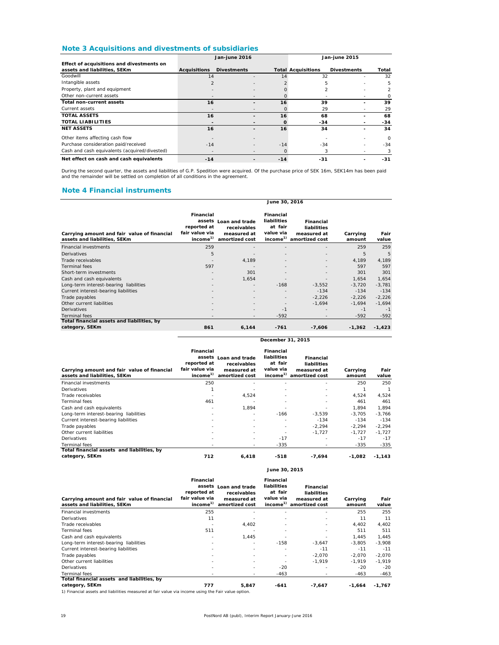### **Note 3 Acquisitions and divestments of subsidiaries**

|                                               | Jan-june 2016            |                    |       | Jan-june 2015             |                    |               |
|-----------------------------------------------|--------------------------|--------------------|-------|---------------------------|--------------------|---------------|
| Effect of acquisitions and divestments on     |                          |                    |       |                           |                    |               |
| assets and liabilities, SEKm                  | <b>Acquisitions</b>      | <b>Divestments</b> |       | <b>Total Acquisitions</b> | <b>Divestments</b> | Total         |
| Goodwill                                      | 14                       |                    | 14    | 32                        |                    | 32            |
| Intangible assets                             |                          |                    |       | 5                         |                    | 5             |
| Property, plant and equipment                 |                          |                    |       | 2                         |                    | $\mathcal{P}$ |
| Other non-current assets                      |                          |                    |       |                           |                    |               |
| Total non-current assets                      | 16                       |                    | 16    | 39                        |                    | 39            |
| Current assets                                |                          |                    |       | 29                        |                    | 29            |
| <b>TOTAL ASSETS</b>                           | 16                       |                    | 16    | 68                        |                    | 68            |
| <b>TOTAL LIABILITIES</b>                      |                          |                    | O     | $-34$                     |                    | $-34$         |
| <b>NET ASSETS</b>                             | 16                       |                    | 16    | 34                        |                    | 34            |
| Other items affecting cash flow               |                          |                    |       |                           |                    | 0             |
| Purchase consideration paid/received          | $-14$                    |                    | $-14$ | $-34$                     |                    | $-34$         |
| Cash and cash equivalents (acquired/divested) | $\overline{\phantom{0}}$ |                    |       | 3                         |                    | 3             |
| Net effect on cash and cash equivalents       | $-14$                    |                    | $-14$ | $-31$                     |                    | $-31$         |

During the second quarter, the assets and liabilities of G.P. Spedition were acquired. Of the purchase price of SEK 16m, SEK14m has been paid<br>and the remainder will be settled on completion of all conditions in the agreeme

### **Note 4 Financial instruments**

|                                                                             | June 30, 2016                                                                |                                                                |                                                                         |                                                           |                    |               |  |
|-----------------------------------------------------------------------------|------------------------------------------------------------------------------|----------------------------------------------------------------|-------------------------------------------------------------------------|-----------------------------------------------------------|--------------------|---------------|--|
| Carrying amount and fair value of financial<br>assets and liabilities, SEKm | Financial<br>assets<br>reported at<br>fair value via<br>income <sup>1)</sup> | Loan and trade<br>receivables<br>measured at<br>amortized cost | Financial<br>liabilities<br>at fair<br>value via<br>income <sup>1</sup> | Financial<br>liabilities<br>measured at<br>amortized cost | Carrying<br>amount | Fair<br>value |  |
| <b>Financial investments</b>                                                | 259                                                                          |                                                                |                                                                         |                                                           | 259                | 259           |  |
| <b>Derivatives</b>                                                          | 5                                                                            |                                                                |                                                                         |                                                           | 5                  | 5             |  |
| Trade receivables                                                           |                                                                              | 4,189                                                          |                                                                         |                                                           | 4,189              | 4,189         |  |
| <b>Terminal fees</b>                                                        | 597                                                                          |                                                                |                                                                         |                                                           | 597                | 597           |  |
| Short-term investments                                                      |                                                                              | 301                                                            |                                                                         |                                                           | 301                | 301           |  |
| Cash and cash equivalents                                                   |                                                                              | 1,654                                                          |                                                                         |                                                           | 1,654              | 1,654         |  |
| Long-term interest-bearing liabilities                                      |                                                                              |                                                                | $-168$                                                                  | $-3,552$                                                  | $-3.720$           | $-3,781$      |  |
| Current interest-bearing liabilities                                        |                                                                              |                                                                |                                                                         | $-134$                                                    | $-134$             | $-134$        |  |
| Trade payables                                                              |                                                                              |                                                                |                                                                         | $-2,226$                                                  | $-2,226$           | $-2,226$      |  |
| Other current liabilities                                                   |                                                                              |                                                                |                                                                         | $-1,694$                                                  | $-1,694$           | $-1,694$      |  |
| Derivatives                                                                 |                                                                              |                                                                | $-1$                                                                    |                                                           | $-1$               | $-1$          |  |
| <b>Terminal fees</b>                                                        | $\overline{\phantom{a}}$                                                     | $\overline{\phantom{a}}$                                       | $-592$                                                                  |                                                           | $-592$             | $-592$        |  |
| Total financial assets and liabilities, by                                  |                                                                              |                                                                |                                                                         |                                                           |                    |               |  |
| category, SEKm                                                              | 861                                                                          | 6,144                                                          | $-761$                                                                  | $-7,606$                                                  | $-1,362$           | $-1,423$      |  |

| Carrying amount and fair value of financial<br>assets and liabilities, SEKm | Financial<br>reported at<br>fair value via<br>income <sup>1)</sup> | assets Loan and trade<br>receivables<br>measured at<br>amortized cost | <b>Financial</b><br>liabilities<br>at fair<br>value via<br>income <sup>1)</sup> | Financial<br>liabilities<br>measured at<br>amortized cost | Carrying<br>amount | Fair<br>value |
|-----------------------------------------------------------------------------|--------------------------------------------------------------------|-----------------------------------------------------------------------|---------------------------------------------------------------------------------|-----------------------------------------------------------|--------------------|---------------|
| <b>Financial investments</b>                                                | 250                                                                |                                                                       |                                                                                 |                                                           | 250                | 250           |
| Derivatives                                                                 |                                                                    |                                                                       |                                                                                 |                                                           |                    |               |
| Trade receivables                                                           |                                                                    | 4,524                                                                 |                                                                                 |                                                           | 4,524              | 4,524         |
| Terminal fees                                                               | 461                                                                |                                                                       |                                                                                 |                                                           | 461                | 461           |
| Cash and cash equivalents                                                   | ٠                                                                  | 1.894                                                                 |                                                                                 |                                                           | 1.894              | 1.894         |
| Long-term interest-bearing liabilities                                      | $\overline{\phantom{a}}$                                           |                                                                       | $-166$                                                                          | $-3,539$                                                  | $-3.705$           | $-3,766$      |
| Current interest-bearing liabilities                                        | $\overline{\phantom{a}}$                                           |                                                                       |                                                                                 | $-134$                                                    | $-134$             | $-134$        |
| Trade payables                                                              | $\overline{\phantom{0}}$                                           |                                                                       |                                                                                 | $-2.294$                                                  | $-2.294$           | $-2,294$      |
| Other current liabilities                                                   | $\overline{\phantom{a}}$                                           |                                                                       |                                                                                 | $-1.727$                                                  | $-1,727$           | $-1,727$      |
| Derivatives                                                                 |                                                                    |                                                                       | $-17$                                                                           |                                                           | $-17$              | $-17$         |
| Terminal fees                                                               | $\overline{\phantom{0}}$                                           |                                                                       | $-335$                                                                          |                                                           | $-335$             | $-335$        |
| Total financial assets and liabilities, by                                  |                                                                    |                                                                       |                                                                                 |                                                           |                    |               |
| category, SEKm                                                              | 712                                                                | 6.418                                                                 | $-518$                                                                          | $-7,694$                                                  | $-1.082$           | $-1,143$      |

**December 31, 2015**

|                                                                             |                                                                    |                                                                       | June 30, 2015                                                           |                                                           |                    |               |
|-----------------------------------------------------------------------------|--------------------------------------------------------------------|-----------------------------------------------------------------------|-------------------------------------------------------------------------|-----------------------------------------------------------|--------------------|---------------|
| Carrying amount and fair value of financial<br>assets and liabilities, SEKm | Financial<br>reported at<br>fair value via<br>income <sup>1)</sup> | assets Loan and trade<br>receivables<br>measured at<br>amortized cost | Financial<br>liabilities<br>at fair<br>value via<br>income <sup>1</sup> | Financial<br>liabilities<br>measured at<br>amortized cost | Carrying<br>amount | Fair<br>value |
| <b>Financial investments</b>                                                | 255                                                                |                                                                       |                                                                         |                                                           | 255                | 255           |
| Derivatives                                                                 | 11                                                                 |                                                                       | $\overline{\phantom{0}}$                                                |                                                           | 11                 | 11            |
| Trade receivables                                                           |                                                                    | 4,402                                                                 | $\overline{\phantom{0}}$                                                |                                                           | 4.402              | 4,402         |
| <b>Terminal fees</b>                                                        | 511                                                                |                                                                       | $\overline{\phantom{a}}$                                                |                                                           | 511                | 511           |
| Cash and cash equivalents                                                   |                                                                    | 1.445                                                                 |                                                                         |                                                           | 1,445              | 1,445         |
| Long-term interest-bearing liabilities                                      |                                                                    |                                                                       | $-158$                                                                  | $-3,647$                                                  | $-3,805$           | $-3.908$      |
| Current interest-bearing liabilities                                        |                                                                    |                                                                       | $\overline{\phantom{0}}$                                                | $-11$                                                     | $-11$              | $-11$         |
| Trade payables                                                              |                                                                    |                                                                       | $\overline{\phantom{a}}$                                                | $-2,070$                                                  | $-2,070$           | $-2,070$      |
| Other current liabilities                                                   |                                                                    |                                                                       |                                                                         | $-1,919$                                                  | $-1,919$           | $-1.919$      |
| Derivatives                                                                 |                                                                    |                                                                       | $-20$                                                                   |                                                           | $-20$              | $-20$         |
| Terminal fees                                                               |                                                                    | $\overline{\phantom{0}}$                                              | $-463$                                                                  |                                                           | $-463$             | $-463$        |
| Total financial assets and liabilities, by<br>category, SEKm                | 777                                                                | 5,847                                                                 | $-641$                                                                  | $-7.647$                                                  | $-1.664$           | $-1.767$      |

1) Financial assets and liabilities measured at fair value via income using the Fair value option.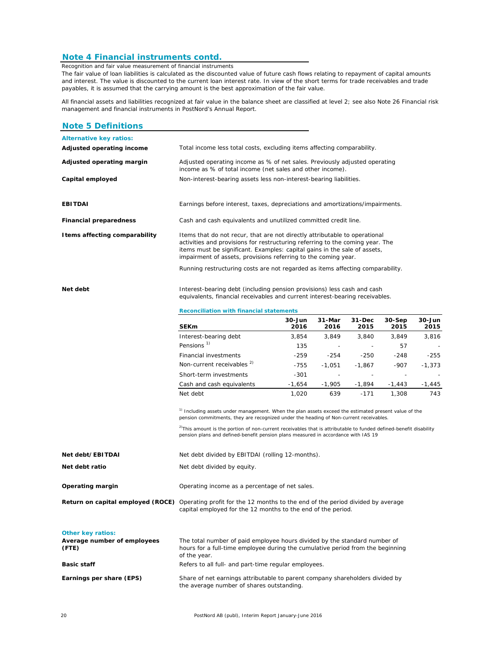#### **Note 4 Financial instruments contd.**

*Recognition and fair value measurement of financial instruments* The fair value of loan liabilities is calculated as the discounted value of future cash flows relating to repayment of capital amounts and interest. The value is discounted to the current loan interest rate. In view of the short terms for trade receivables and trade payables, it is assumed that the carrying amount is the best approximation of the fair value.

All financial assets and liabilities recognized at fair value in the balance sheet are classified at level 2; see also Note 26 Financial risk management and financial instruments in PostNord's Annual Report.

#### **Note 5 Definitions**

| <b>Alternative key ratios:</b> |                                                                                                                                                                                                                                                                                                            |
|--------------------------------|------------------------------------------------------------------------------------------------------------------------------------------------------------------------------------------------------------------------------------------------------------------------------------------------------------|
| Adjusted operating income      | Total income less total costs, excluding items affecting comparability.                                                                                                                                                                                                                                    |
| Adjusted operating margin      | Adjusted operating income as % of net sales. Previously adjusted operating<br>income as % of total income (net sales and other income).                                                                                                                                                                    |
| Capital employed               | Non-interest-bearing assets less non-interest-bearing liabilities.                                                                                                                                                                                                                                         |
| <b>EBITDAI</b>                 | Earnings before interest, taxes, depreciations and amortizations/impairments.                                                                                                                                                                                                                              |
| <b>Financial preparedness</b>  | Cash and cash equivalents and unutilized committed credit line.                                                                                                                                                                                                                                            |
| I tems affecting comparability | Items that do not recur, that are not directly attributable to operational<br>activities and provisions for restructuring referring to the coming year. The<br>items must be significant. Examples: capital gains in the sale of assets,<br>impairment of assets, provisions referring to the coming year. |
|                                | Running restructuring costs are not regarded as items affecting comparability.                                                                                                                                                                                                                             |
|                                |                                                                                                                                                                                                                                                                                                            |

**Net debt** Interest-bearing debt (including pension provisions) less cash and cash equivalents, financial receivables and current interest-bearing receivables.

**Reconciliation with financial statements**

| <b>SEKm</b>                           | $30 - Jun$<br>2016 | 31-Mar<br>2016 | 31-Dec<br>2015 | $30-$ Sep<br>2015 | $30 - Jun$<br>2015 |
|---------------------------------------|--------------------|----------------|----------------|-------------------|--------------------|
| Interest-bearing debt                 | 3.854              | 3.849          | 3.840          | 3.849             | 3,816              |
| Pensions <sup>1)</sup>                | 135                |                |                | 57                |                    |
| Financial investments                 | $-259$             | $-254$         | $-250$         | $-248$            | $-255$             |
| Non-current receivables <sup>2)</sup> | $-755$             | $-1,051$       | $-1.867$       | $-907$            | $-1.373$           |
| Short-term investments                | $-301$             |                |                |                   |                    |
| Cash and cash equivalents             | $-1,654$           | $-1.905$       | $-1,894$       | $-1.443$          | $-1,445$           |
| Net debt                              | 1.020              | 639            | $-171$         | 1.308             | 743                |

 $1)$  Including assets under management. When the plan assets exceed the estimated present value of the pension commitments, they are recognized under the heading of Non-current receivables.

 $^{2)}$ This amount is the portion of non-current receivables that is attributable to funded defined-benefit disability pension plans and defined-benefit pension plans measured in accordance with IAS 19

| Net debt/EBITDAI            | Net debt divided by EBITDAI (rolling 12-months).                                                                                                                                        |  |  |  |  |
|-----------------------------|-----------------------------------------------------------------------------------------------------------------------------------------------------------------------------------------|--|--|--|--|
| Net debt ratio              | Net debt divided by equity.                                                                                                                                                             |  |  |  |  |
| Operating margin            | Operating income as a percentage of net sales.                                                                                                                                          |  |  |  |  |
|                             | <b>Return on capital employed (ROCE)</b> Operating profit for the 12 months to the end of the period divided by average<br>capital employed for the 12 months to the end of the period. |  |  |  |  |
| <b>Other key ratios:</b>    |                                                                                                                                                                                         |  |  |  |  |
| Average number of employees | The total number of paid employee hours divided by the standard number of                                                                                                               |  |  |  |  |
| (FTE)                       | hours for a full-time employee during the cumulative period from the beginning<br>of the year.                                                                                          |  |  |  |  |
| <b>Basic staff</b>          | Refers to all full- and part-time regular employees.                                                                                                                                    |  |  |  |  |
| Earnings per share (EPS)    | Share of net earnings attributable to parent company shareholders divided by                                                                                                            |  |  |  |  |